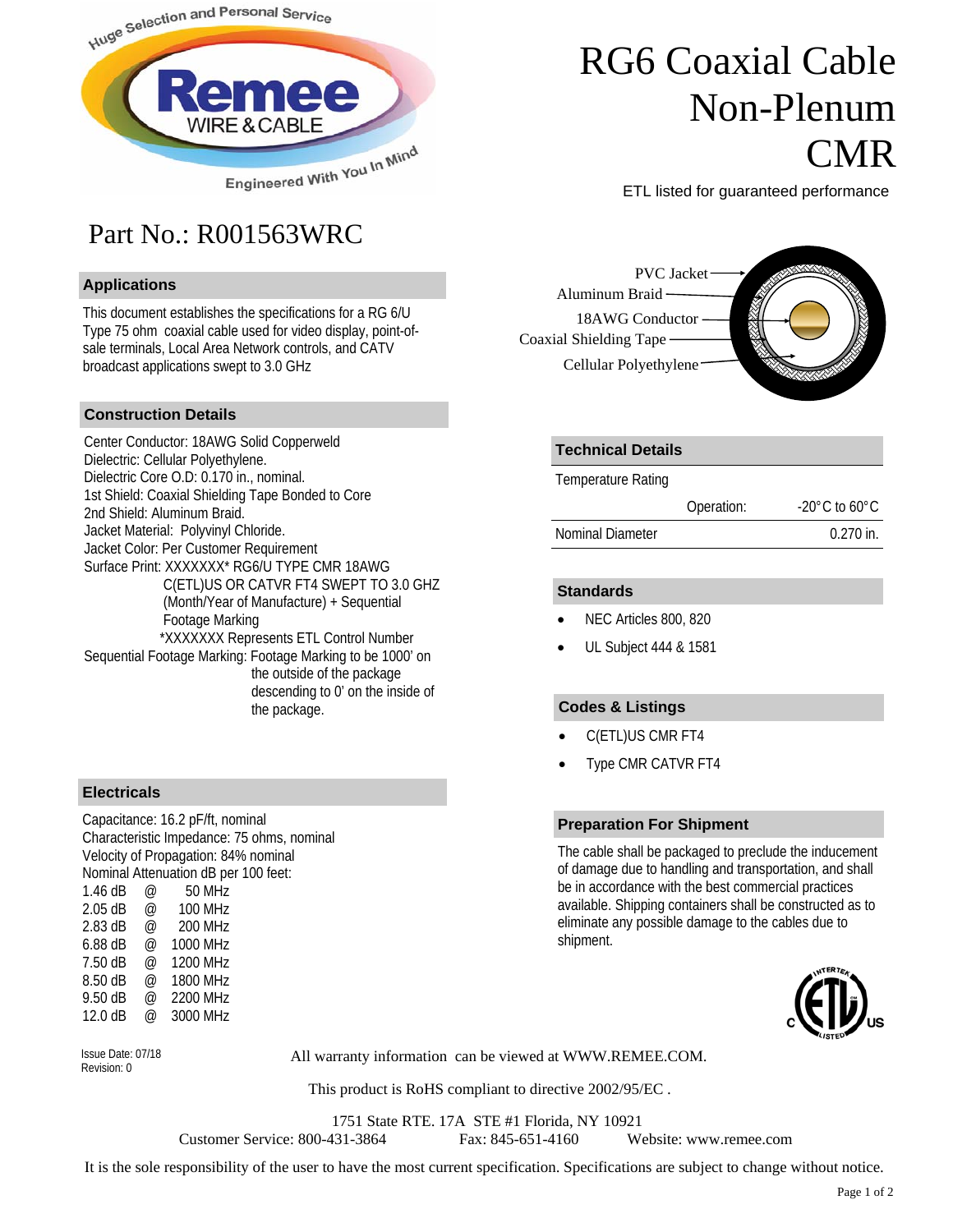

## Part No.: R001563WRC

#### **Applications**

This document establishes the specifications for a RG 6/U Type 75 ohm coaxial cable used for video display, point-ofsale terminals, Local Area Network controls, and CATV broadcast applications swept to 3.0 GHz

#### **Construction Details**

Center Conductor: 18AWG Solid Copperweld Dielectric: Cellular Polyethylene. Dielectric Core O.D: 0.170 in., nominal. 1st Shield: Coaxial Shielding Tape Bonded to Core 2nd Shield: Aluminum Braid. Jacket Material: Polyvinyl Chloride. Jacket Color: Per Customer Requirement Surface Print: XXXXXXX\* RG6/U TYPE CMR 18AWG C(ETL)US OR CATVR FT4 SWEPT TO 3.0 GHZ (Month/Year of Manufacture) + Sequential Footage Marking \*XXXXXXX Represents ETL Control Number Sequential Footage Marking: Footage Marking to be 1000' on the outside of the package descending to 0' on the inside of the package.

#### **Electricals**

Capacitance: 16.2 pF/ft, nominal Characteristic Impedance: 75 ohms, nominal Velocity of Propagation: 84% nominal Nominal Attenuation dB per 100 feet: 1.46 dB @ 50 MHz 2.05 dB @ 100 MHz 2.83 dB @ 200 MHz 6.88 dB @ 1000 MHz 7.50 dB @ 1200 MHz 8.50 dB @ 1800 MHz 9.50 dB @ 2200 MHz 12.0 dB @ 3000 MHz



All warranty information can be viewed at WWW.REMEE.COM. Issue Date: 07/18

This product is RoHS compliant to directive 2002/95/EC .

1751 State RTE. 17A STE #1 Florida, NY 10921

Customer Service: 800-431-3864 Fax: 845-651-4160 Website: www.remee.com

It is the sole responsibility of the user to have the most current specification. Specifications are subject to change without notice.

## RG6 Coaxial Cable Non-Plenum **CMR**

ETL listed for guaranteed performance

PVC Jacket 18AWG Conductor Cellular Polyethylene Aluminum Braid Coaxial Shielding Tape

#### **Technical Details**

Temperature Rating

|                  | Operation: | $-20^{\circ}$ C to 60 $^{\circ}$ C |
|------------------|------------|------------------------------------|
| Nominal Diameter |            | $0.270$ in.                        |

#### **Standards**

- NEC Articles 800, 820
- UL Subject 444 & 1581

#### **Codes & Listings**

- C(ETL)US CMR FT4
- Type CMR CATVR FT4

#### **Preparation For Shipment**

The cable shall be packaged to preclude the inducement of damage due to handling and transportation, and shall be in accordance with the best commercial practices available. Shipping containers shall be constructed as to eliminate any possible damage to the cables due to shipment.